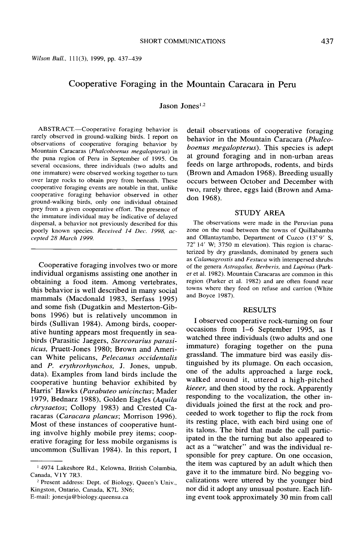# **Cooperative Foraging in the Mountain Caracara in Peru**

**Jason Jones**<sup>1,2</sup>

**ABSTRACT.-Cooperative foraging behavior is rarely observed in ground-walking birds. I report on observations of cooperative foraging behavior by Mountain Caracaras (Phalcoboenus megalopterus) in the puna region of Peru in September of 1995. On several occasions, three individuals (two adults and one immature) were observed working together to turn over large rocks to obtain prey from beneath. These cooperative foraging events are notable in that, unlike cooperative foraging behavior observed in other ground-walking birds, only one individual obtained prey from a given cooperative effort. The presence of the immature individual may be indicative of delayed dispersal, a behavior not previously described for this poorly known species. Received 14 Dec. 1998, accepted 28 March 1999.** 

**Cooperative foraging involves two or more individual organisms assisting one another in obtaining a food item. Among vertebrates, this behavior is well described in many social mammals (Macdonald 1983, Serfass 1995) and some fish (Dugatkin and Mesterton-Gibbons 1996) but is relatively uncommon in birds (Sullivan 1984). Among birds, cooperative hunting appears most frequently in sea**birds (Parasitic Jaegers, Stercorarius parasi**ticus, Pruett-Jones 1980; Brown and American White pelicans, Pelecanus occidentalis and P. erythrorhynchos, J. Jones, unpub. data). Examples from land birds include the cooperative hunting behavior exhibited by**  Harris' Hawks (Parabuteo unicinctus; Mader 1979, Bednarz 1988), Golden Eagles (Aquila **chrysaetos; Collopy 1983) and Crested Caracaras (Caracara plancus; Morrison 1996). Most of these instances of cooperative hunting involve highly mobile prey items; cooperative foraging for less mobile organisms is uncommon (Sullivan 1984). In this report, I** 

**detail observations of cooperative foraging behavior in the Mountain Caracara (Phalcoboenus megalopterus). This species is adept at ground foraging and in non-urban areas feeds on large arthropods, rodents, and birds (Brown and Amadon 1968). Breeding usually occurs between October and December with two, rarely three, eggs laid (Brown and Amadon 1968).** 

#### **STUDY AREA**

**The observations were made in the Peruvian puna zone on the road between the towns of Quillabamba and Ollantaytambo, Department of Cuzco (13" 9' S, 72" 14' W, 3750 m elevation). This region is characterized by dry grasslands, dominated by genera such as Calamagrostis and Fesfuca with interspersed shrubs of the genera Astragalus, Berberis, and Lupinus (Parker et al. 1982). Mountain Caracaras are common in this region (Parker et al. 1982) and are often found near towns where they feed on refuse and carrion (White and Boyce 1987).** 

#### **RESULTS**

**I observed cooperative rock-turning on four occasions from l-6 September 1995, as I watched three individuals (two adults and one immature) foraging together on the puna grassland. The immature bird was easily distinguished by its plumage. On each occasion, one of the adults approached a large rock, walked around it, uttered a high-pitched kieeer, and then stood by the rock. Apparently responding to the vocalization, the other individuals joined the first at the rock and proceeded to work together to flip the rock from its resting place, with each bird using one of its talons. The bird that made the call participated in the the turning but also appeared to act as a "watcher" and was the individual responsible for prey capture. On one occasion, the item was captured by an adult which then gave it to the immature bird. No begging vocalizations were uttered by the younger bird nor did it adopt any unusual posture. Each lifting event took approximately 30 min from call** 

**<sup>&#</sup>x27; 4974 Lakeshore Rd., Kelowna, British Columbia, Canada, VlY 7R3.** 

<sup>&</sup>lt;sup>2</sup> Present address: Dept. of Biology, Queen's Univ., **Kingston, Ontario, Canada, K7L 3N6; E-mail: jonesja@biology.queensu.ca**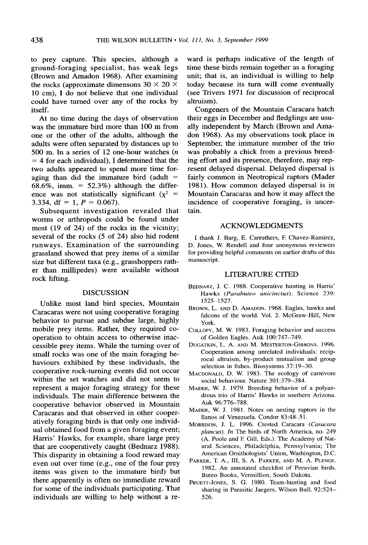**to prey capture. This species, although a ground-foraging specialist, has weak legs (Brown and Amadon 1968). After examining**  the rocks (approximate dimensons  $30 \times 20 \times$ **10 cm), I do not believe that one individual could have turned over any of the rocks by itself.** 

**At no time during the days of observation was the immature bird more than 100 m from one or the other of the adults, although the adults were often separated by distances up to 500 m. In a series of 12 one-hour watches (n = 4 for each individual), I determined that the two adults appeared to spend more time foraging than did the immature bird (adult = 68.6%, imm. = 52.3%) although the differ**ence was not statistically significant  $(x^2$  = **3.334, df** = 1,  $P = 0.067$ .

**Subsequent investigation revealed that worms or arthropods could be found under most (19 of 24) of the rocks in the vicinity; several of the rocks (5 of 24) also hid rodent runways. Examination of the surrounding grassland showed that prey items of a similar size but different taxa (e.g., grasshoppers rather than millipedes) were available without rock lifting.** 

#### **DISCUSSION**

**Unlike most land bird species, Mountain Caracaras were not using cooperative foraging behavior to pursue and subdue large, highly mobile prey items. Rather, they required cooperation to obtain access to otherwise inaccessible prey items. While the turning over of small rocks was one of the main foraging behaviours exhibited by these individuals, the cooperative rock-turning events did not occur within the set watches and did not seem to represent a major foraging strategy for these individuals. The main difference between the cooperative behavior observed in Mountain Caracaras and that observed in other cooperatively foraging birds is that only one individual obtained food from a given foraging event; Harris' Hawks, for example, share large prey that are cooperatively caught (Bednarz 1988). This disparity in obtaining a food reward may even out over time (e.g., one of the four prey items was given to the immature bird) but there apparently is often no immediate reward for some of the individuals participating. That individuals are willing to help without a re-** **ward is perhaps indicative of the length of time these birds remain together as a foraging unit; that is, an individual is willing to help today because its turn will come eventually (see Tiivers 1971 for discussion of reciprocal altruism).** 

**Congeners of the Mountain Caracara hatch their eggs in December and fledglings are usually independent by March (Brown and Amadon 1968). As my observations took place in September, the immature member of the trio was probably a chick from a previous breeding effort and its presence, therefore, may represent delayed dispersal. Delayed dispersal is fairly common in Neotropical raptors (Mader 1981). How common delayed dispersal is in Mountain Caracaras and how it may affect the incidence of cooperative foraging, is uncertain.** 

## **ACKNOWLEDGMENTS**

I thank J. Barg, E. Carruthers, F. Chavez-Ramirez, **D. Jones, W. Rendell and four anonymous reviewers for providing helpful comments on earlier drafts of this manuscript.** 

## **LITERATURE CITED**

- **BEDNARZ, J. C. 1988. Cooperative hunting in Harris' Hawks (Parabuteo unicinctus). Science 239: 1525-1527.**
- **BROWN, L. AND D. AMADON. 1968. Eagles, hawks and falcons of the world. Vol. 2. McGraw-Hill, New York.**
- **COLLOPY, M. W. 1983. Foraging behavior and success of Golden Eagles. Auk 100:747-749.**
- **DUGATKIN, L. A. AND M. MESTERTON-GIBBONS. 1996. Cooperation among unrelated individuals: reciprocal altruism, by-product mutualism and group selection in fishes. Biosystems 37: 19-30.**
- **MACDONALD, D. W. 1983. The ecology of carnivore social behaviour. Nature 301:379-384.**
- **MADER, W. J. 1979. Breeding behavior of a polyandrous trio of Harris' Hawks in southern Arizona. Auk 96:776-788.**
- **MADER, W. J. 1981. Notes on nesting raptors in the llanos of Venezuela. Condor 83:48-51.**
- MORRISON, J. L. 1996. Crested Caracara (Caracara **plancus). In The birds of North America, no. 249 (A. Poole and E Gill, Eds.). The Academy of Natural Sciences, Philadelphia, Pennsylvania; The American Ornithologists' Union, Washington, D.C.**
- **PARKER, T A., III, S. A. PARKER, AND M. A. PLENGE. 1982. An annotated checklist of Peruvian birds. Buteo Books, Vermillion, South Dakota.**
- **PRUETT-JONES, S. G. 1980. Team-hunting and food sharing in Parasitic Jaegers. Wilson Bull. 92:524- 526.**